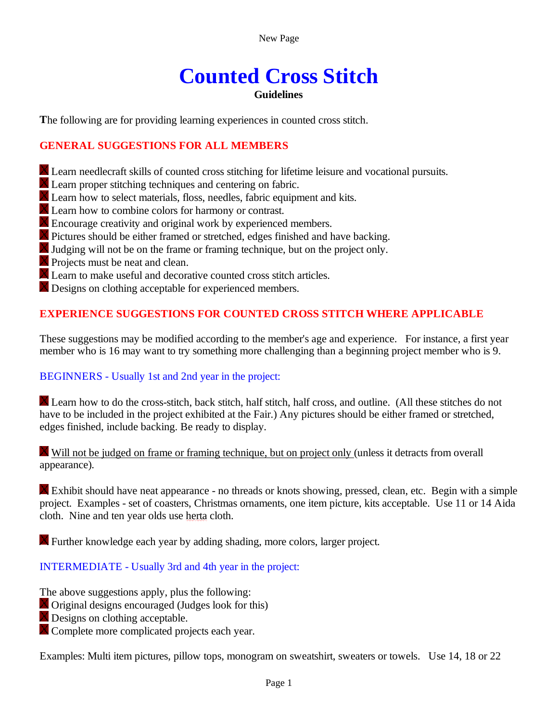New Page

# **Counted Cross Stitch**

**Guidelines**

**T**he following are for providing learning experiences in counted cross stitch.

### **GENERAL SUGGESTIONS FOR ALL MEMBERS**

- **X** Learn needlecraft skills of counted cross stitching for lifetime leisure and vocational pursuits.
- **X** Learn proper stitching techniques and centering on fabric.
- **X** Learn how to select materials, floss, needles, fabric equipment and kits.
- **X** Learn how to combine colors for harmony or contrast.
- **K** Encourage creativity and original work by experienced members.
- **X** Pictures should be either framed or stretched, edges finished and have backing.
- $\blacksquare$  Judging will not be on the frame or framing technique, but on the project only.
- **X** Projects must be neat and clean.
- X Learn to make useful and decorative counted cross stitch articles.
- **A** Designs on clothing acceptable for experienced members.

## **EXPERIENCE SUGGESTIONS FOR COUNTED CROSS STITCH WHERE APPLICABLE**

These suggestions may be modified according to the member's age and experience. For instance, a first year member who is 16 may want to try something more challenging than a beginning project member who is 9.

### BEGINNERS - Usually 1st and 2nd year in the project:

 Learn how to do the cross-stitch, back stitch, half stitch, half cross, and outline. (All these stitches do not have to be included in the project exhibited at the Fair.) Any pictures should be either framed or stretched, edges finished, include backing. Be ready to display.

**X** Will not be judged on frame or framing technique, but on project only (unless it detracts from overall appearance).

 Exhibit should have neat appearance - no threads or knots showing, pressed, clean, etc. Begin with a simple project. Examples - set of coasters, Christmas ornaments, one item picture, kits acceptable. Use 11 or 14 Aida cloth. Nine and ten year olds use herta cloth.

**X** Further knowledge each year by adding shading, more colors, larger project.

### INTERMEDIATE - Usually 3rd and 4th year in the project:

The above suggestions apply, plus the following:

- Original designs encouraged (Judges look for this)
- **X** Designs on clothing acceptable.
- **X** Complete more complicated projects each year.

Examples: Multi item pictures, pillow tops, monogram on sweatshirt, sweaters or towels. Use 14, 18 or 22